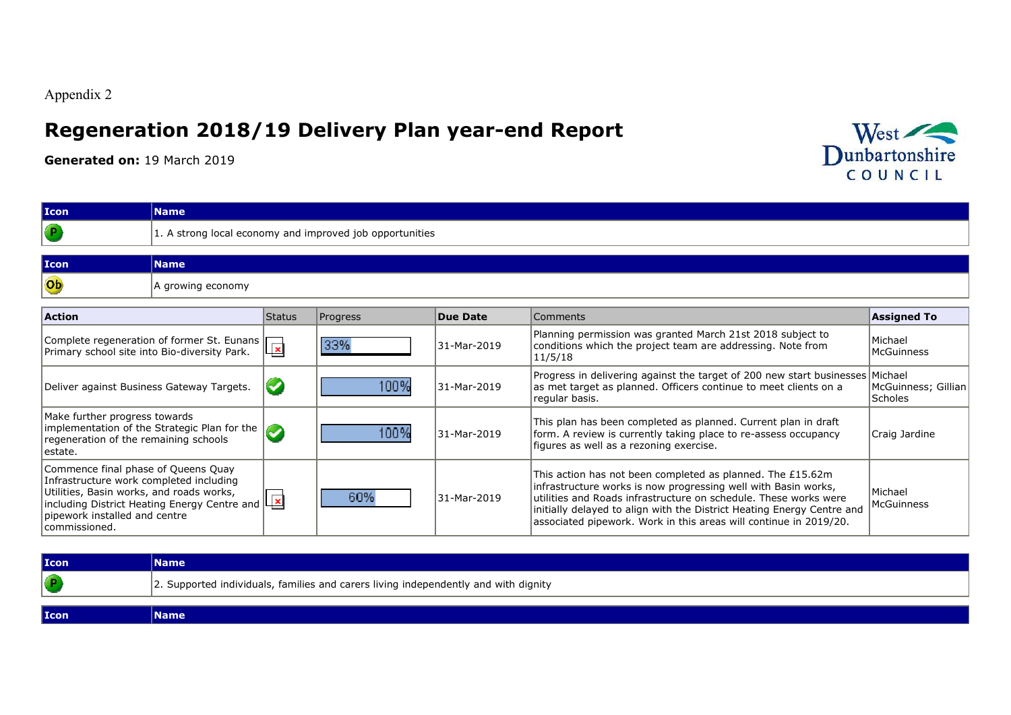Appendix 2

## **Regeneration 2018/19 Delivery Plan year-end Report**

**Generated on:** 19 March 2019



| <b>Icon</b>                                                                                                                                                                   | <b>Name</b>                                              |                      |          |                 |                                                                                                                                                                                                                                                                                                                                                 |                                       |  |  |  |  |
|-------------------------------------------------------------------------------------------------------------------------------------------------------------------------------|----------------------------------------------------------|----------------------|----------|-----------------|-------------------------------------------------------------------------------------------------------------------------------------------------------------------------------------------------------------------------------------------------------------------------------------------------------------------------------------------------|---------------------------------------|--|--|--|--|
|                                                                                                                                                                               | 1. A strong local economy and improved job opportunities |                      |          |                 |                                                                                                                                                                                                                                                                                                                                                 |                                       |  |  |  |  |
| <b>Icon</b>                                                                                                                                                                   | <b>Name</b>                                              |                      |          |                 |                                                                                                                                                                                                                                                                                                                                                 |                                       |  |  |  |  |
| Ob                                                                                                                                                                            | A growing economy                                        |                      |          |                 |                                                                                                                                                                                                                                                                                                                                                 |                                       |  |  |  |  |
| <b>Action</b>                                                                                                                                                                 |                                                          | <b>Status</b>        | Progress | <b>Due Date</b> | <b>Comments</b>                                                                                                                                                                                                                                                                                                                                 | <b>Assigned To</b>                    |  |  |  |  |
| Primary school site into Bio-diversity Park.                                                                                                                                  | Complete regeneration of former St. Eunans               | $\vert x \vert$      | 33%      | 31-Mar-2019     | Planning permission was granted March 21st 2018 subject to<br>conditions which the project team are addressing. Note from<br>11/5/18                                                                                                                                                                                                            | Michael<br><b>McGuinness</b>          |  |  |  |  |
| Deliver against Business Gateway Targets.                                                                                                                                     |                                                          | $\blacktriangledown$ | l 00 %   | 31-Mar-2019     | Progress in delivering against the target of 200 new start businesses Michael<br>as met target as planned. Officers continue to meet clients on a<br>regular basis.                                                                                                                                                                             | McGuinness; Gillian<br><b>Scholes</b> |  |  |  |  |
| Make further progress towards<br>regeneration of the remaining schools<br>lestate.                                                                                            | implementation of the Strategic Plan for the             | <b>Az</b>            | l 00 %   | 31-Mar-2019     | This plan has been completed as planned. Current plan in draft<br>form. A review is currently taking place to re-assess occupancy<br>figures as well as a rezoning exercise.                                                                                                                                                                    | Craig Jardine                         |  |  |  |  |
| Commence final phase of Queens Quay<br>Infrastructure work completed including<br>Utilities, Basin works, and roads works,<br>pipework installed and centre<br>lcommissioned. | Including District Heating Energy Centre and $\Box$      |                      | 60%      | 31-Mar-2019     | This action has not been completed as planned. The £15.62m<br>infrastructure works is now progressing well with Basin works,<br>utilities and Roads infrastructure on schedule. These works were<br>initially delayed to align with the District Heating Energy Centre and<br>associated pipework. Work in this areas will continue in 2019/20. | Michael<br>McGuinness                 |  |  |  |  |

| Icon       | Name                                                                                |
|------------|-------------------------------------------------------------------------------------|
| $\sqrt{P}$ | 2. Supported individuals, families and carers living independently and with dignity |
|            |                                                                                     |
| Icon       | <b>Name</b>                                                                         |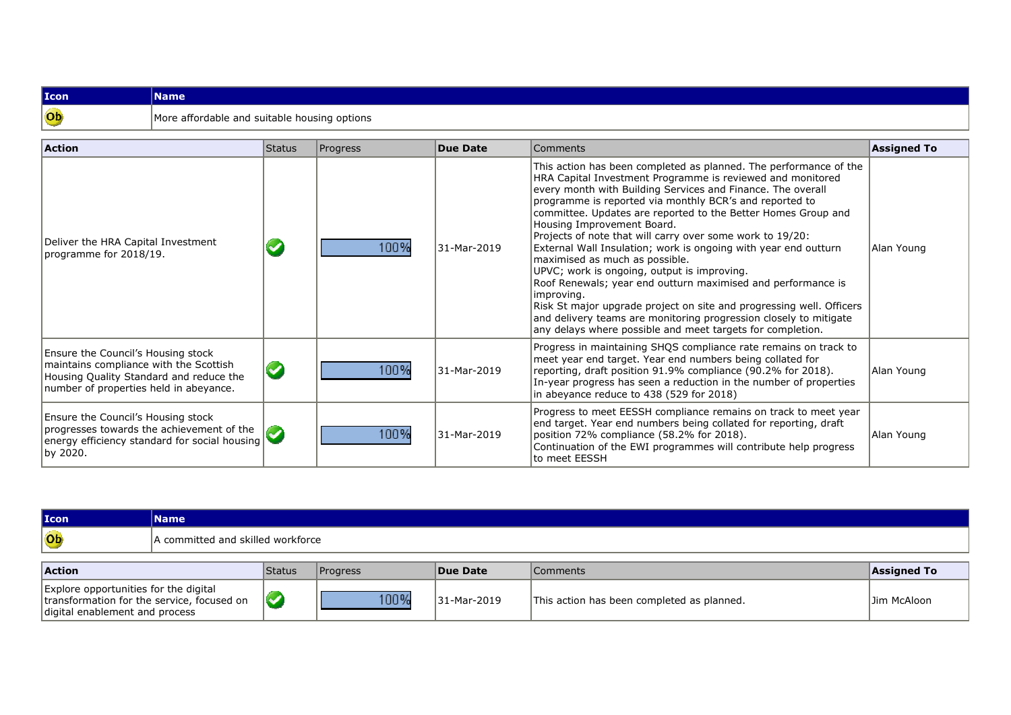## **IconName**<br> **Ob** More at More at More at  $\frac{1}{2}$ More affordable and suitable housing options

| <b>Action</b>                                                                                                                                                            | Status | Progress | Due Date    | Comments                                                                                                                                                                                                                                                                                                                                                                                                                                                                                                                                                                                                                                                                                                                                                                                                                                                           | <b>Assigned To</b> |
|--------------------------------------------------------------------------------------------------------------------------------------------------------------------------|--------|----------|-------------|--------------------------------------------------------------------------------------------------------------------------------------------------------------------------------------------------------------------------------------------------------------------------------------------------------------------------------------------------------------------------------------------------------------------------------------------------------------------------------------------------------------------------------------------------------------------------------------------------------------------------------------------------------------------------------------------------------------------------------------------------------------------------------------------------------------------------------------------------------------------|--------------------|
| Deliver the HRA Capital Investment<br>programme for 2018/19.                                                                                                             |        | 100%     | 31-Mar-2019 | This action has been completed as planned. The performance of the<br>HRA Capital Investment Programme is reviewed and monitored<br>every month with Building Services and Finance. The overall<br>programme is reported via monthly BCR's and reported to<br>committee. Updates are reported to the Better Homes Group and<br>Housing Improvement Board.<br>Projects of note that will carry over some work to 19/20:<br>External Wall Insulation; work is ongoing with year end outturn<br>maximised as much as possible.<br>UPVC; work is ongoing, output is improving.<br>Roof Renewals; year end outturn maximised and performance is<br>improving.<br>Risk St major upgrade project on site and progressing well. Officers<br>and delivery teams are monitoring progression closely to mitigate<br>any delays where possible and meet targets for completion. | Alan Young         |
| <b>Ensure the Council's Housing stock</b><br>maintains compliance with the Scottish<br>Housing Quality Standard and reduce the<br>number of properties held in abeyance. | V      | 100%     | 31-Mar-2019 | Progress in maintaining SHQS compliance rate remains on track to<br>meet year end target. Year end numbers being collated for<br>reporting, draft position 91.9% compliance (90.2% for 2018).<br>In-year progress has seen a reduction in the number of properties<br>in abeyance reduce to 438 (529 for 2018)                                                                                                                                                                                                                                                                                                                                                                                                                                                                                                                                                     | Alan Young         |
| <b>Ensure the Council's Housing stock</b><br>progresses towards the achievement of the<br>energy efficiency standard for social housing<br>by 2020.                      |        | 100%     | 31-Mar-2019 | Progress to meet EESSH compliance remains on track to meet year<br>end target. Year end numbers being collated for reporting, draft<br>position 72% compliance (58.2% for 2018).<br>Continuation of the EWI programmes will contribute help progress<br>to meet EESSH                                                                                                                                                                                                                                                                                                                                                                                                                                                                                                                                                                                              | Alan Young         |

| Icon      | <b>Name</b>                       |         |    |                     |                 |
|-----------|-----------------------------------|---------|----|---------------------|-----------------|
| Ob        | A committed and skilled workforce |         |    |                     |                 |
|           |                                   |         |    |                     |                 |
| $A$ ction | $C$ tatue                         | Draarac | In | C <sub>normal</sub> | $I$ Accianod To |

| <b>Action</b>                                                                                                         | <sup>I</sup> Status | <b>Progress</b> | <b>Due Date</b> | Comments <b>A</b>                          | <b>Assigned To</b> |
|-----------------------------------------------------------------------------------------------------------------------|---------------------|-----------------|-----------------|--------------------------------------------|--------------------|
| Explore opportunities for the digital<br>transformation for the service, focused on<br>digital enablement and process |                     | 100%            | 31-Mar-2019     | This action has been completed as planned. | Jim McAloon        |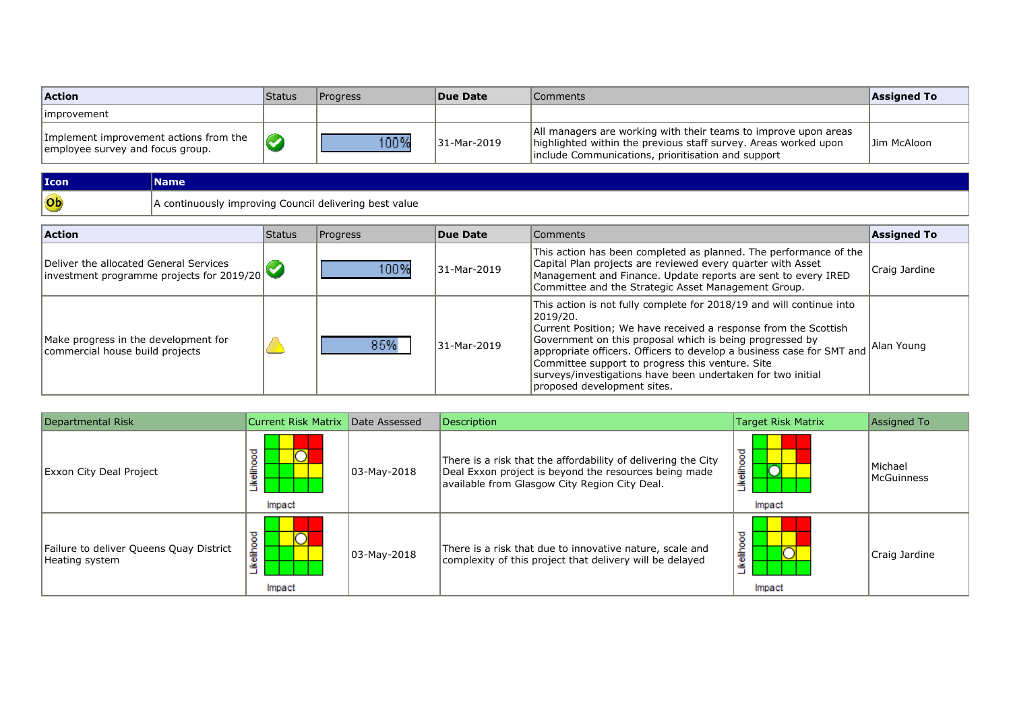| <b>Action</b>                                                              | <b>Status</b> | <b>Progress</b> | Due Date    | Comments                                                                                                                                                                                 | Assigned To |
|----------------------------------------------------------------------------|---------------|-----------------|-------------|------------------------------------------------------------------------------------------------------------------------------------------------------------------------------------------|-------------|
| limprovement                                                               |               |                 |             |                                                                                                                                                                                          |             |
| Implement improvement actions from the<br>employee survey and focus group. |               | 100%            | 31-Mar-2019 | All managers are working with their teams to improve upon areas<br>highlighted within the previous staff survey. Areas worked upon<br>include Communications, prioritisation and support | Jim McAloon |

| Icon      | Name,                                                        |
|-----------|--------------------------------------------------------------|
| <b>Ob</b> | itinuously improving Council delivering best value<br>$\sim$ |

| <b>Action</b>                                                                        | <b>Status</b> | Progress | Due Date    | <b>Comments</b>                                                                                                                                                                                                                                                                                                                                                                                                                            | <b>Assigned To</b> |
|--------------------------------------------------------------------------------------|---------------|----------|-------------|--------------------------------------------------------------------------------------------------------------------------------------------------------------------------------------------------------------------------------------------------------------------------------------------------------------------------------------------------------------------------------------------------------------------------------------------|--------------------|
| Deliver the allocated General Services<br>linvestment programme projects for 2019/20 |               | 100%     | 31-Mar-2019 | This action has been completed as planned. The performance of the<br>Capital Plan projects are reviewed every quarter with Asset<br>Management and Finance. Update reports are sent to every IRED<br>Committee and the Strategic Asset Management Group.                                                                                                                                                                                   | Craig Jardine      |
| Make progress in the development for<br>commercial house build projects              |               | 85%      | 31-Mar-2019 | This action is not fully complete for 2018/19 and will continue into<br>2019/20.<br>Current Position; We have received a response from the Scottish<br>Government on this proposal which is being progressed by<br>appropriate officers. Officers to develop a business case for SMT and<br>Committee support to progress this venture. Site<br>surveys/investigations have been undertaken for two initial<br>proposed development sites. | Alan Young         |

| Departmental Risk                                         | Current Risk Matrix Date Assessed |                 | Description                                                                                                                                                             | Target Risk Matrix       | Assigned To                  |
|-----------------------------------------------------------|-----------------------------------|-----------------|-------------------------------------------------------------------------------------------------------------------------------------------------------------------------|--------------------------|------------------------------|
| Exxon City Deal Project                                   | kelihood<br>Impact                | $ 03-May-2018 $ | There is a risk that the affordability of delivering the City<br>Deal Exxon project is beyond the resources being made<br>available from Glasgow City Region City Deal. | ikelihood<br>∽<br>Impact | Michael<br><b>McGuinness</b> |
| Failure to deliver Queens Quay District<br>Heating system | elihood<br>≚<br>Impact            | $ 03-May-2018 $ | There is a risk that due to innovative nature, scale and<br>complexity of this project that delivery will be delayed                                                    | ikelihood<br>Impact      | Craig Jardine                |